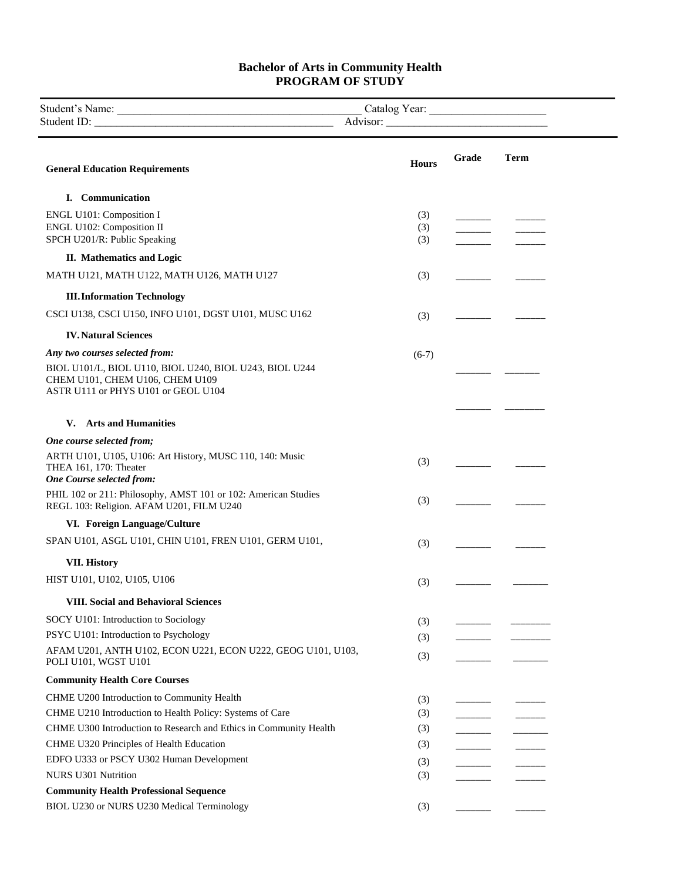## **Bachelor of Arts in Community Health PROGRAM OF STUDY**

| Student <sup>:</sup><br>√ame | ear:<br>٬مدما م†م' |  |
|------------------------------|--------------------|--|
| Student                      |                    |  |

| <b>General Education Requirements</b>                                                                                             | <b>Hours</b> | Grade | <b>Term</b> |
|-----------------------------------------------------------------------------------------------------------------------------------|--------------|-------|-------------|
| I. Communication                                                                                                                  |              |       |             |
| ENGL U101: Composition I                                                                                                          | (3)          |       |             |
| ENGL U102: Composition II                                                                                                         | (3)          |       |             |
| SPCH U201/R: Public Speaking                                                                                                      | (3)          |       |             |
| II. Mathematics and Logic                                                                                                         |              |       |             |
| MATH U121, MATH U122, MATH U126, MATH U127                                                                                        | (3)          |       |             |
| <b>III. Information Technology</b>                                                                                                |              |       |             |
| CSCI U138, CSCI U150, INFO U101, DGST U101, MUSC U162                                                                             | (3)          |       |             |
| <b>IV. Natural Sciences</b>                                                                                                       |              |       |             |
| Any two courses selected from:                                                                                                    | $(6-7)$      |       |             |
| BIOL U101/L, BIOL U110, BIOL U240, BIOL U243, BIOL U244<br>CHEM U101, CHEM U106, CHEM U109<br>ASTR U111 or PHYS U101 or GEOL U104 |              |       |             |
|                                                                                                                                   |              |       |             |
| <b>Arts and Humanities</b><br>V.                                                                                                  |              |       |             |
| One course selected from;                                                                                                         |              |       |             |
| ARTH U101, U105, U106: Art History, MUSC 110, 140: Music<br>THEA 161, 170: Theater<br><b>One Course selected from:</b>            | (3)          |       |             |
| PHIL 102 or 211: Philosophy, AMST 101 or 102: American Studies<br>REGL 103: Religion. AFAM U201, FILM U240                        | (3)          |       |             |
| VI. Foreign Language/Culture                                                                                                      |              |       |             |
| SPAN U101, ASGL U101, CHIN U101, FREN U101, GERM U101,                                                                            | (3)          |       |             |
| <b>VII. History</b>                                                                                                               |              |       |             |
| HIST U101, U102, U105, U106                                                                                                       | (3)          |       |             |
| <b>VIII. Social and Behavioral Sciences</b>                                                                                       |              |       |             |
| SOCY U101: Introduction to Sociology                                                                                              | (3)          |       |             |
| PSYC U101: Introduction to Psychology                                                                                             | (3)          |       |             |
| AFAM U201, ANTH U102, ECON U221, ECON U222, GEOG U101, U103,<br>POLI U101, WGST U101                                              | (3)          |       |             |
| <b>Community Health Core Courses</b>                                                                                              |              |       |             |
| CHME U200 Introduction to Community Health                                                                                        | (3)          |       |             |
| CHME U210 Introduction to Health Policy: Systems of Care                                                                          | (3)          |       |             |
| CHME U300 Introduction to Research and Ethics in Community Health                                                                 | (3)          |       |             |
| CHME U320 Principles of Health Education                                                                                          | (3)          |       |             |
| EDFO U333 or PSCY U302 Human Development                                                                                          | (3)          |       |             |
| <b>NURS U301 Nutrition</b>                                                                                                        | (3)          |       |             |
| <b>Community Health Professional Sequence</b>                                                                                     |              |       |             |
| BIOL U230 or NURS U230 Medical Terminology                                                                                        | (3)          |       |             |